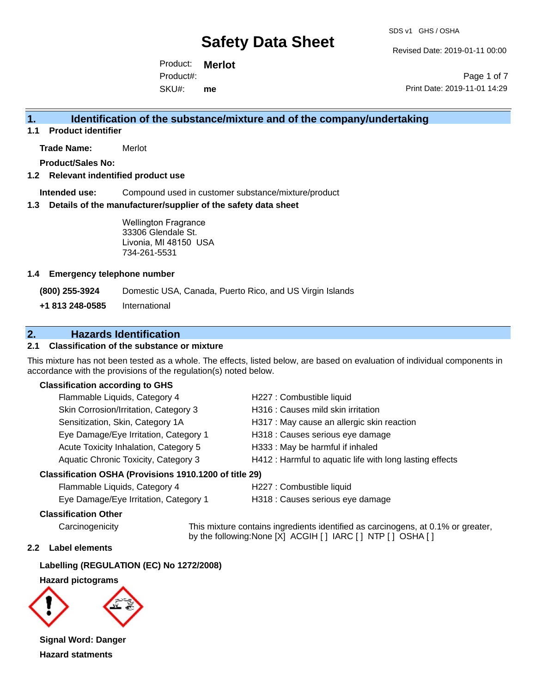Revised Date: 2019-01-11 00:00

Product: **Merlot** SKU#: Product#: **me**

Page 1 of 7 Print Date: 2019-11-01 14:29

# **1. Identification of the substance/mixture and of the company/undertaking**

**1.1 Product identifier**

**Trade Name:** Merlot

**Product/Sales No:**

#### **1.2 Relevant indentified product use**

**Intended use:** Compound used in customer substance/mixture/product

#### **1.3 Details of the manufacturer/supplier of the safety data sheet**

Wellington Fragrance 33306 Glendale St. Livonia, MI 48150 USA 734-261-5531

#### **1.4 Emergency telephone number**

**(800) 255-3924** Domestic USA, Canada, Puerto Rico, and US Virgin Islands

**+1 813 248-0585** International

# **2. Hazards Identification**

## **2.1 Classification of the substance or mixture**

This mixture has not been tested as a whole. The effects, listed below, are based on evaluation of individual components in accordance with the provisions of the regulation(s) noted below.

#### **Classification according to GHS**

| Flammable Liquids, Category 4                        | H227 : Combustible liquid                                |
|------------------------------------------------------|----------------------------------------------------------|
| Skin Corrosion/Irritation, Category 3                | H316 : Causes mild skin irritation                       |
| Sensitization, Skin, Category 1A                     | H317 : May cause an allergic skin reaction               |
| Eye Damage/Eye Irritation, Category 1                | H318 : Causes serious eye damage                         |
| Acute Toxicity Inhalation, Category 5                | H333: May be harmful if inhaled                          |
| Aquatic Chronic Toxicity, Category 3                 | H412 : Harmful to aquatic life with long lasting effects |
| resifientian OSUA (Provisione 1010 1200 of title 20) |                                                          |

## **Classification OSHA (Provisions 1910.1200 of title 29)**

Flammable Liquids, Category 4 H227 : Combustible liquid

Eye Damage/Eye Irritation, Category 1 H318 : Causes serious eye damage

## **Classification Other**

Carcinogenicity This mixture contains ingredients identified as carcinogens, at 0.1% or greater, by the following:None [X] ACGIH [ ] IARC [ ] NTP [ ] OSHA [ ]

#### **2.2 Label elements**

**Labelling (REGULATION (EC) No 1272/2008)**

#### **Hazard pictograms**



**Signal Word: Danger Hazard statments**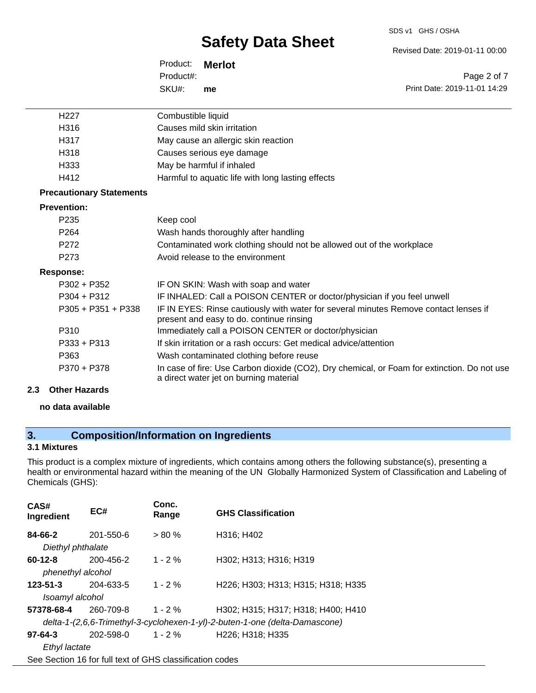## SDS v1 GHS / OSHA

# **Safety Data Sheet**

Revised Date: 2019-01-11 00:00

| Product: <b>Merlot</b> |    |                              |
|------------------------|----|------------------------------|
| Product#:              |    | Page 2 of 7                  |
| SKU#:                  | me | Print Date: 2019-11-01 14:29 |
|                        |    |                              |

| H <sub>22</sub> 7               | Combustible liquid                                                                                                                    |
|---------------------------------|---------------------------------------------------------------------------------------------------------------------------------------|
| H316                            | Causes mild skin irritation                                                                                                           |
| H317                            | May cause an allergic skin reaction                                                                                                   |
| H318                            | Causes serious eye damage                                                                                                             |
| H333                            | May be harmful if inhaled                                                                                                             |
| H412                            | Harmful to aquatic life with long lasting effects                                                                                     |
| <b>Precautionary Statements</b> |                                                                                                                                       |
| <b>Prevention:</b>              |                                                                                                                                       |
| P <sub>235</sub>                | Keep cool                                                                                                                             |
| P <sub>264</sub>                | Wash hands thoroughly after handling                                                                                                  |
| P272                            | Contaminated work clothing should not be allowed out of the workplace                                                                 |
| P273                            | Avoid release to the environment                                                                                                      |
| <b>Response:</b>                |                                                                                                                                       |
| P302 + P352                     | IF ON SKIN: Wash with soap and water                                                                                                  |
| $P304 + P312$                   | IF INHALED: Call a POISON CENTER or doctor/physician if you feel unwell                                                               |
| $P305 + P351 + P338$            | IF IN EYES: Rinse cautiously with water for several minutes Remove contact lenses if<br>present and easy to do. continue rinsing      |
| P310                            | Immediately call a POISON CENTER or doctor/physician                                                                                  |
| $P333 + P313$                   | If skin irritation or a rash occurs: Get medical advice/attention                                                                     |
| P363                            | Wash contaminated clothing before reuse                                                                                               |
| P370 + P378                     | In case of fire: Use Carbon dioxide (CO2), Dry chemical, or Foam for extinction. Do not use<br>a direct water jet on burning material |

### **2.3 Other Hazards**

#### **no data available**

# **3. Composition/Information on Ingredients**

## **3.1 Mixtures**

This product is a complex mixture of ingredients, which contains among others the following substance(s), presenting a health or environmental hazard within the meaning of the UN Globally Harmonized System of Classification and Labeling of Chemicals (GHS):

| CAS#<br>Ingredient | EC#                                                      | Conc.<br>Range | <b>GHS Classification</b>                                                   |
|--------------------|----------------------------------------------------------|----------------|-----------------------------------------------------------------------------|
| 84-66-2            | 201-550-6                                                | $> 80 \%$      | H316; H402                                                                  |
| Diethyl phthalate  |                                                          |                |                                                                             |
| 60-12-8            | 200-456-2                                                | $1 - 2 \%$     | H302; H313; H316; H319                                                      |
| phenethyl alcohol  |                                                          |                |                                                                             |
| 123-51-3           | 204-633-5                                                | $1 - 2%$       | H226; H303; H313; H315; H318; H335                                          |
| Isoamyl alcohol    |                                                          |                |                                                                             |
| 57378-68-4         | 260-709-8                                                | $1 - 2%$       | H302: H315: H317: H318: H400: H410                                          |
|                    |                                                          |                | delta-1-(2,6,6-Trimethyl-3-cyclohexen-1-yl)-2-buten-1-one (delta-Damascone) |
| $97 - 64 - 3$      | 202-598-0                                                | $1 - 2 \%$     | H226; H318; H335                                                            |
| Ethyl lactate      |                                                          |                |                                                                             |
|                    | See Section 16 for full text of GHS classification codes |                |                                                                             |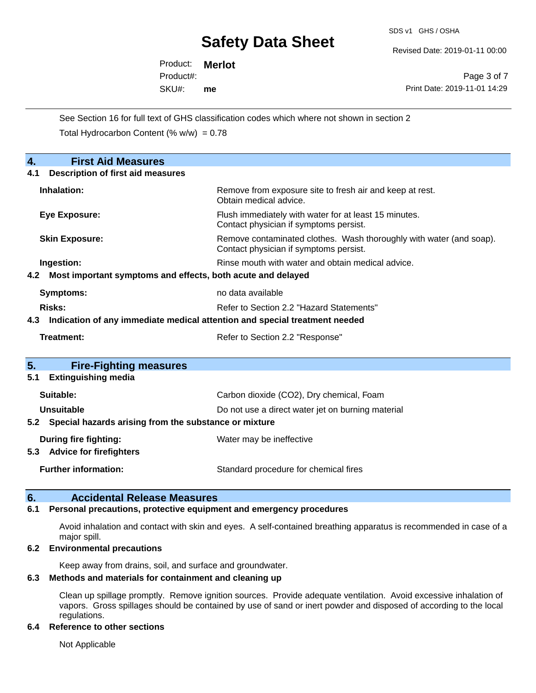SDS v1 GHS / OSHA

Revised Date: 2019-01-11 00:00

Product: **Merlot** SKU#: Product#: **me**

Page 3 of 7 Print Date: 2019-11-01 14:29

See Section 16 for full text of GHS classification codes which where not shown in section 2 Total Hydrocarbon Content (%  $w/w$ ) = 0.78

| 4.<br><b>First Aid Measures</b>                                                   |                                                                                                               |
|-----------------------------------------------------------------------------------|---------------------------------------------------------------------------------------------------------------|
| <b>Description of first aid measures</b><br>4.1                                   |                                                                                                               |
| Inhalation:                                                                       | Remove from exposure site to fresh air and keep at rest.<br>Obtain medical advice.                            |
| <b>Eye Exposure:</b>                                                              | Flush immediately with water for at least 15 minutes.<br>Contact physician if symptoms persist.               |
| <b>Skin Exposure:</b>                                                             | Remove contaminated clothes. Wash thoroughly with water (and soap).<br>Contact physician if symptoms persist. |
| Ingestion:                                                                        | Rinse mouth with water and obtain medical advice.                                                             |
| 4.2 Most important symptoms and effects, both acute and delayed                   |                                                                                                               |
| Symptoms:                                                                         | no data available                                                                                             |
| Risks:<br>Refer to Section 2.2 "Hazard Statements"                                |                                                                                                               |
| Indication of any immediate medical attention and special treatment needed<br>4.3 |                                                                                                               |
| Treatment:                                                                        | Refer to Section 2.2 "Response"                                                                               |
|                                                                                   |                                                                                                               |
| 5.<br><b>Fire-Fighting measures</b>                                               |                                                                                                               |
| <b>Extinguishing media</b><br>5.1                                                 |                                                                                                               |
| Suitable:                                                                         | Carbon dioxide (CO2), Dry chemical, Foam                                                                      |
| <b>Unsuitable</b>                                                                 | Do not use a direct water jet on burning material                                                             |
| Special hazards arising from the substance or mixture<br>5.2                      |                                                                                                               |
| During fire fighting:                                                             | Water may be ineffective                                                                                      |
| 5.3 Advice for firefighters                                                       |                                                                                                               |
| <b>Further information:</b>                                                       | Standard procedure for chemical fires                                                                         |

## **6. Accidental Release Measures**

#### **6.1 Personal precautions, protective equipment and emergency procedures**

Avoid inhalation and contact with skin and eyes. A self-contained breathing apparatus is recommended in case of a major spill.

### **6.2 Environmental precautions**

Keep away from drains, soil, and surface and groundwater.

## **6.3 Methods and materials for containment and cleaning up**

Clean up spillage promptly. Remove ignition sources. Provide adequate ventilation. Avoid excessive inhalation of vapors. Gross spillages should be contained by use of sand or inert powder and disposed of according to the local regulations.

#### **6.4 Reference to other sections**

Not Applicable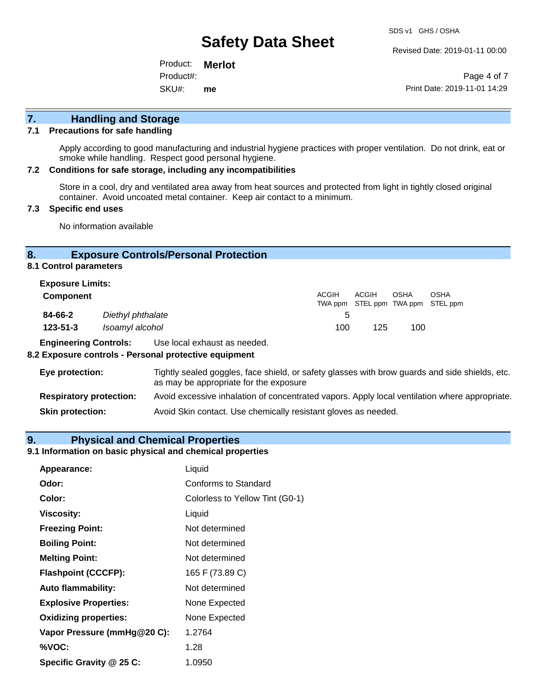Revised Date: 2019-01-11 00:00

Product: **Merlot** SKU#: Product#: **me**

Page 4 of 7 Print Date: 2019-11-01 14:29

# **7. Handling and Storage**

#### **7.1 Precautions for safe handling**

Apply according to good manufacturing and industrial hygiene practices with proper ventilation. Do not drink, eat or smoke while handling. Respect good personal hygiene.

#### **7.2 Conditions for safe storage, including any incompatibilities**

Store in a cool, dry and ventilated area away from heat sources and protected from light in tightly closed original container. Avoid uncoated metal container. Keep air contact to a minimum.

## **7.3 Specific end uses**

No information available

## **8. Exposure Controls/Personal Protection**

**8.1 Control parameters**

| <b>Exposure Limits:</b> |                   |       |                                            |      |      |
|-------------------------|-------------------|-------|--------------------------------------------|------|------|
| <b>Component</b>        |                   | ACGIH | ACGIH<br>TWA ppm STEL ppm TWA ppm STEL ppm | OSHA | OSHA |
| 84-66-2                 | Diethyl phthalate |       |                                            |      |      |
| $123 - 51 - 3$          | Isoamyl alcohol   | 100   | 125                                        | 100  |      |

**Engineering Controls:** Use local exhaust as needed.

#### **8.2 Exposure controls - Personal protective equipment**

| Eye protection:                | Tightly sealed goggles, face shield, or safety glasses with brow guards and side shields, etc.<br>as may be appropriate for the exposure |
|--------------------------------|------------------------------------------------------------------------------------------------------------------------------------------|
| <b>Respiratory protection:</b> | Avoid excessive inhalation of concentrated vapors. Apply local ventilation where appropriate.                                            |
| <b>Skin protection:</b>        | Avoid Skin contact. Use chemically resistant gloves as needed.                                                                           |

## **9. Physical and Chemical Properties**

## **9.1 Information on basic physical and chemical properties**

| Appearance:                  | Liquid                          |
|------------------------------|---------------------------------|
| Odor:                        | Conforms to Standard            |
| Color:                       | Colorless to Yellow Tint (G0-1) |
| <b>Viscosity:</b>            | Liquid                          |
| <b>Freezing Point:</b>       | Not determined                  |
| <b>Boiling Point:</b>        | Not determined                  |
| <b>Melting Point:</b>        | Not determined                  |
| <b>Flashpoint (CCCFP):</b>   | 165 F (73.89 C)                 |
| <b>Auto flammability:</b>    | Not determined                  |
| <b>Explosive Properties:</b> | None Expected                   |
| <b>Oxidizing properties:</b> | None Expected                   |
| Vapor Pressure (mmHg@20 C):  | 1.2764                          |
| %VOC:                        | 1.28                            |
| Specific Gravity @ 25 C:     | 1.0950                          |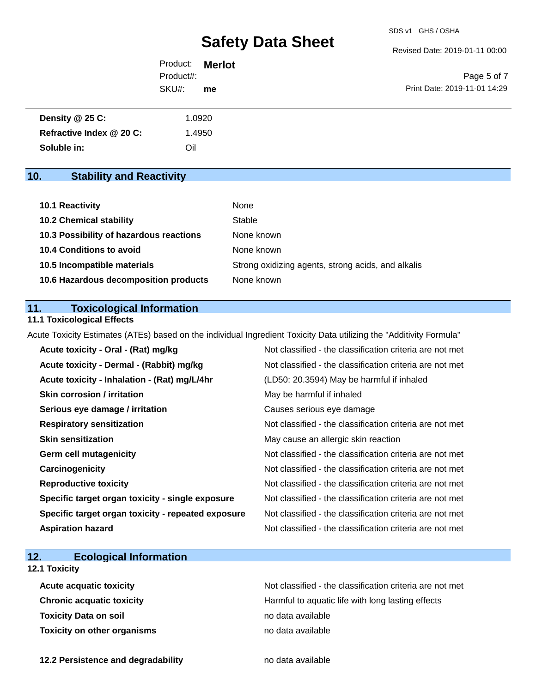Revised Date: 2019-01-11 00:00

Product: **Merlot** SKU#: Product#: **me**

Page 5 of 7 Print Date: 2019-11-01 14:29

| Density @ 25 C:          | 1.0920  |
|--------------------------|---------|
| Refractive Index @ 20 C: | 4950. ا |
| Soluble in:              | Oil     |

# **10. Stability and Reactivity**

| 10.1 Reactivity                         | None                                               |
|-----------------------------------------|----------------------------------------------------|
| <b>10.2 Chemical stability</b>          | Stable                                             |
| 10.3 Possibility of hazardous reactions | None known                                         |
| 10.4 Conditions to avoid                | None known                                         |
| 10.5 Incompatible materials             | Strong oxidizing agents, strong acids, and alkalis |
| 10.6 Hazardous decomposition products   | None known                                         |

## **11. Toxicological Information**

## **11.1 Toxicological Effects**

Acute Toxicity Estimates (ATEs) based on the individual Ingredient Toxicity Data utilizing the "Additivity Formula"

| Acute toxicity - Oral - (Rat) mg/kg                | Not classified - the classification criteria are not met |
|----------------------------------------------------|----------------------------------------------------------|
| Acute toxicity - Dermal - (Rabbit) mg/kg           | Not classified - the classification criteria are not met |
| Acute toxicity - Inhalation - (Rat) mg/L/4hr       | (LD50: 20.3594) May be harmful if inhaled                |
| <b>Skin corrosion / irritation</b>                 | May be harmful if inhaled                                |
| Serious eye damage / irritation                    | Causes serious eye damage                                |
| <b>Respiratory sensitization</b>                   | Not classified - the classification criteria are not met |
| <b>Skin sensitization</b>                          | May cause an allergic skin reaction                      |
| <b>Germ cell mutagenicity</b>                      | Not classified - the classification criteria are not met |
| Carcinogenicity                                    | Not classified - the classification criteria are not met |
| <b>Reproductive toxicity</b>                       | Not classified - the classification criteria are not met |
| Specific target organ toxicity - single exposure   | Not classified - the classification criteria are not met |
| Specific target organ toxicity - repeated exposure | Not classified - the classification criteria are not met |
| <b>Aspiration hazard</b>                           | Not classified - the classification criteria are not met |

# **12. Ecological Information**

## **12.1 Toxicity**

| <b>Acute acquatic toxicity</b>     | Not classified - the classification criteria are not met |
|------------------------------------|----------------------------------------------------------|
| <b>Chronic acquatic toxicity</b>   | Harmful to aquatic life with long lasting effects        |
| <b>Toxicity Data on soil</b>       | no data available                                        |
| <b>Toxicity on other organisms</b> | no data available                                        |

**12.2 Persistence and degradability no data available**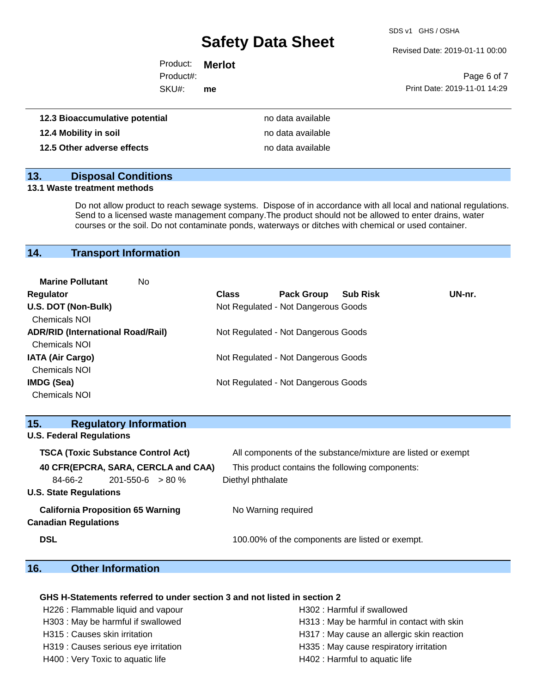SDS v1 GHS / OSHA

Revised Date: 2019-01-11 00:00

| Product: Merlot |    |                              |             |
|-----------------|----|------------------------------|-------------|
| Product#:       |    |                              | Page 6 of 7 |
| SKU#:           | me | Print Date: 2019-11-01 14:29 |             |
|                 |    |                              |             |

| 12.3 Bioaccumulative potential | no data available |
|--------------------------------|-------------------|
| 12.4 Mobility in soil          | no data available |
| 12.5 Other adverse effects     | no data available |

# **13. Disposal Conditions**

#### **13.1 Waste treatment methods**

Do not allow product to reach sewage systems. Dispose of in accordance with all local and national regulations. Send to a licensed waste management company.The product should not be allowed to enter drains, water courses or the soil. Do not contaminate ponds, waterways or ditches with chemical or used container.

# **14. Transport Information**

| <b>Marine Pollutant</b><br>No            |              |                                     |                 |        |
|------------------------------------------|--------------|-------------------------------------|-----------------|--------|
| <b>Regulator</b>                         | <b>Class</b> | <b>Pack Group</b>                   | <b>Sub Risk</b> | UN-nr. |
| U.S. DOT (Non-Bulk)                      |              | Not Regulated - Not Dangerous Goods |                 |        |
| <b>Chemicals NOI</b>                     |              |                                     |                 |        |
| <b>ADR/RID (International Road/Rail)</b> |              | Not Regulated - Not Dangerous Goods |                 |        |
| <b>Chemicals NOI</b>                     |              |                                     |                 |        |
| <b>IATA (Air Cargo)</b>                  |              | Not Regulated - Not Dangerous Goods |                 |        |
| <b>Chemicals NOI</b>                     |              |                                     |                 |        |
| IMDG (Sea)                               |              | Not Regulated - Not Dangerous Goods |                 |        |
| <b>Chemicals NOI</b>                     |              |                                     |                 |        |

| 15.                                       | <b>Regulatory Information</b>            |                                     |                                                              |  |  |
|-------------------------------------------|------------------------------------------|-------------------------------------|--------------------------------------------------------------|--|--|
|                                           | <b>U.S. Federal Regulations</b>          |                                     |                                                              |  |  |
| <b>TSCA (Toxic Substance Control Act)</b> |                                          |                                     | All components of the substance/mixture are listed or exempt |  |  |
|                                           |                                          | 40 CFR(EPCRA, SARA, CERCLA and CAA) | This product contains the following components:              |  |  |
|                                           | $84-66-2$ 201-550-6 $> 80\%$             |                                     | Diethyl phthalate                                            |  |  |
| <b>U.S. State Regulations</b>             |                                          |                                     |                                                              |  |  |
| <b>Canadian Regulations</b>               | <b>California Proposition 65 Warning</b> |                                     | No Warning required                                          |  |  |
| <b>DSL</b>                                |                                          |                                     | 100.00% of the components are listed or exempt.              |  |  |

# **16. Other Information**

## **GHS H-Statements referred to under section 3 and not listed in section 2**

| H226 : Flammable liquid and vapour   | H302: Harmful if swallowed                 |
|--------------------------------------|--------------------------------------------|
| H303 : May be harmful if swallowed   | H313: May be harmful in contact with skin  |
| H315 : Causes skin irritation        | H317 : May cause an allergic skin reaction |
| H319 : Causes serious eye irritation | H335 : May cause respiratory irritation    |
| H400 : Very Toxic to aquatic life    | H402 : Harmful to aquatic life             |